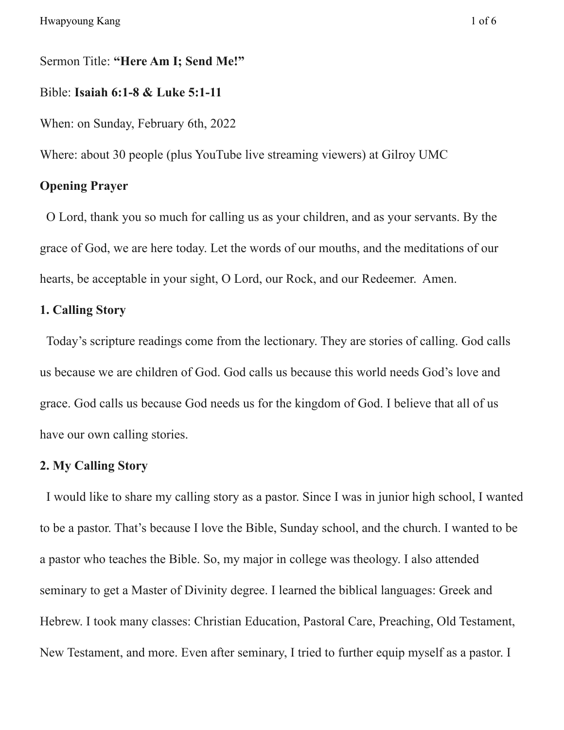### Sermon Title: **"Here Am I; Send Me!"**

### Bible: **Isaiah 6:1-8 & Luke 5:1-11**

When: on Sunday, February 6th, 2022

Where: about 30 people (plus YouTube live streaming viewers) at Gilroy UMC

## **Opening Prayer**

O Lord, thank you so much for calling us as your children, and as your servants. By the grace of God, we are here today. Let the words of our mouths, and the meditations of our hearts, be acceptable in your sight, O Lord, our Rock, and our Redeemer. Amen.

## **1. Calling Story**

Today's scripture readings come from the lectionary. They are stories of calling. God calls us because we are children of God. God calls us because this world needs God's love and grace. God calls us because God needs us for the kingdom of God. I believe that all of us have our own calling stories.

### **2. My Calling Story**

I would like to share my calling story as a pastor. Since I was in junior high school, I wanted to be a pastor. That's because I love the Bible, Sunday school, and the church. I wanted to be a pastor who teaches the Bible. So, my major in college was theology. I also attended seminary to get a Master of Divinity degree. I learned the biblical languages: Greek and Hebrew. I took many classes: Christian Education, Pastoral Care, Preaching, Old Testament, New Testament, and more. Even after seminary, I tried to further equip myself as a pastor. I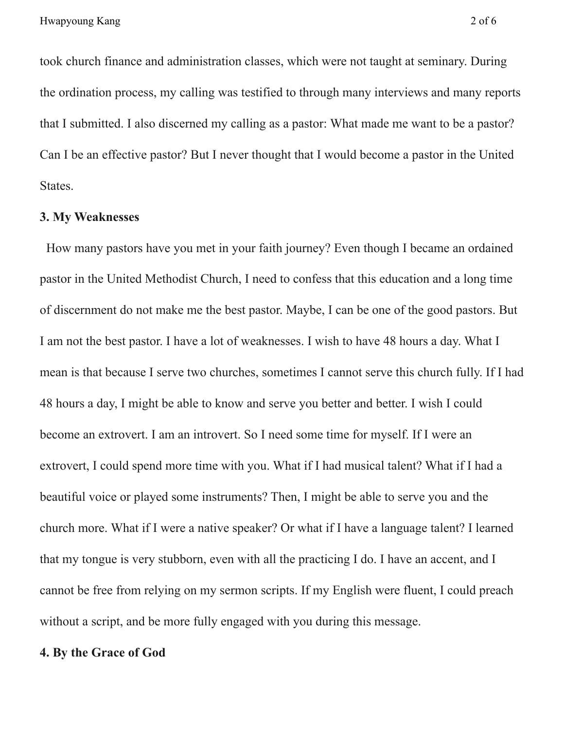took church finance and administration classes, which were not taught at seminary. During the ordination process, my calling was testified to through many interviews and many reports that I submitted. I also discerned my calling as a pastor: What made me want to be a pastor? Can I be an effective pastor? But I never thought that I would become a pastor in the United States.

## **3. My Weaknesses**

How many pastors have you met in your faith journey? Even though I became an ordained pastor in the United Methodist Church, I need to confess that this education and a long time of discernment do not make me the best pastor. Maybe, I can be one of the good pastors. But I am not the best pastor. I have a lot of weaknesses. I wish to have 48 hours a day. What I mean is that because I serve two churches, sometimes I cannot serve this church fully. If I had 48 hours a day, I might be able to know and serve you better and better. I wish I could become an extrovert. I am an introvert. So I need some time for myself. If I were an extrovert, I could spend more time with you. What if I had musical talent? What if I had a beautiful voice or played some instruments? Then, I might be able to serve you and the church more. What if I were a native speaker? Or what if I have a language talent? I learned that my tongue is very stubborn, even with all the practicing I do. I have an accent, and I cannot be free from relying on my sermon scripts. If my English were fluent, I could preach without a script, and be more fully engaged with you during this message.

#### **4. By the Grace of God**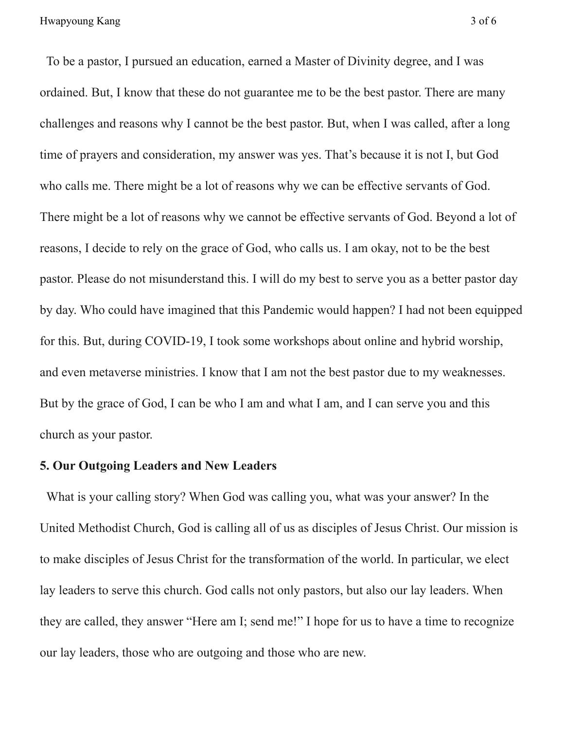To be a pastor, I pursued an education, earned a Master of Divinity degree, and I was ordained. But, I know that these do not guarantee me to be the best pastor. There are many challenges and reasons why I cannot be the best pastor. But, when I was called, after a long time of prayers and consideration, my answer was yes. That's because it is not I, but God who calls me. There might be a lot of reasons why we can be effective servants of God. There might be a lot of reasons why we cannot be effective servants of God. Beyond a lot of reasons, I decide to rely on the grace of God, who calls us. I am okay, not to be the best pastor. Please do not misunderstand this. I will do my best to serve you as a better pastor day by day. Who could have imagined that this Pandemic would happen? I had not been equipped for this. But, during COVID-19, I took some workshops about online and hybrid worship, and even metaverse ministries. I know that I am not the best pastor due to my weaknesses. But by the grace of God, I can be who I am and what I am, and I can serve you and this church as your pastor.

### **5. Our Outgoing Leaders and New Leaders**

What is your calling story? When God was calling you, what was your answer? In the United Methodist Church, God is calling all of us as disciples of Jesus Christ. Our mission is to make disciples of Jesus Christ for the transformation of the world. In particular, we elect lay leaders to serve this church. God calls not only pastors, but also our lay leaders. When they are called, they answer "Here am I; send me!" I hope for us to have a time to recognize our lay leaders, those who are outgoing and those who are new.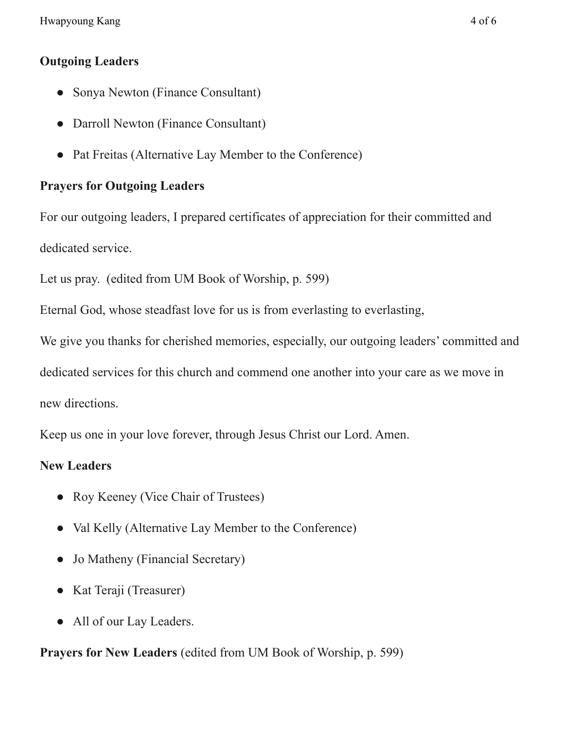Hwapyoung Kang 4 of 6

## **Outgoing Leaders**

- Sonya Newton (Finance Consultant)
- Darroll Newton (Finance Consultant)
- Pat Freitas (Alternative Lay Member to the Conference)

# **Prayers for Outgoing Leaders**

For our outgoing leaders, I prepared certificates of appreciation for their committed and dedicated service.

Let us pray. (edited from UM Book of Worship, p. 599)

Eternal God, whose steadfast love for us is from everlasting to everlasting,

We give you thanks for cherished memories, especially, our outgoing leaders' committed and

dedicated services for this church and commend one another into your care as we move in

new directions.

Keep us one in your love forever, through Jesus Christ our Lord. Amen.

# **New Leaders**

- Roy Keeney (Vice Chair of Trustees)
- Val Kelly (Alternative Lay Member to the Conference)
- Jo Matheny (Financial Secretary)
- Kat Teraji (Treasurer)
- All of our Lay Leaders.

# **Prayers for New Leaders** (edited from UM Book of Worship, p. 599)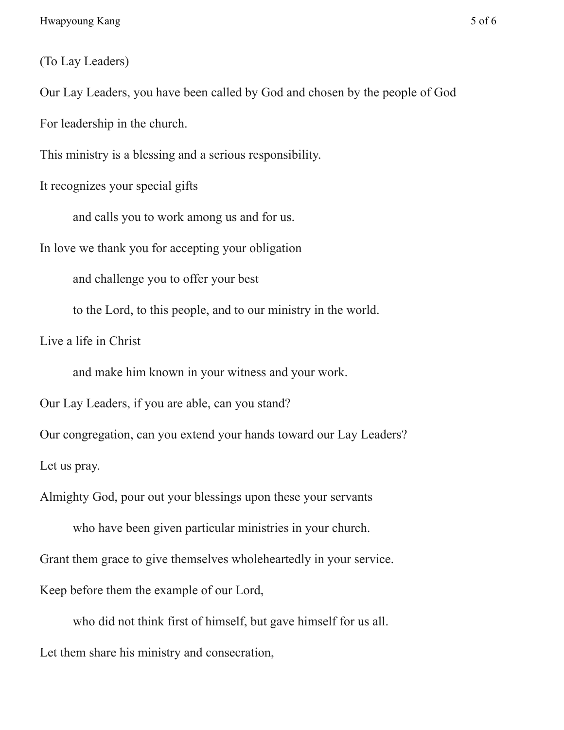(To Lay Leaders)

Our Lay Leaders, you have been called by God and chosen by the people of God

For leadership in the church.

This ministry is a blessing and a serious responsibility.

It recognizes your special gifts

and calls you to work among us and for us.

In love we thank you for accepting your obligation

and challenge you to offer your best

to the Lord, to this people, and to our ministry in the world.

Live a life in Christ

and make him known in your witness and your work.

Our Lay Leaders, if you are able, can you stand?

Our congregation, can you extend your hands toward our Lay Leaders? Let us pray.

Almighty God, pour out your blessings upon these your servants

who have been given particular ministries in your church. Grant them grace to give themselves wholeheartedly in your service. Keep before them the example of our Lord,

who did not think first of himself, but gave himself for us all. Let them share his ministry and consecration,